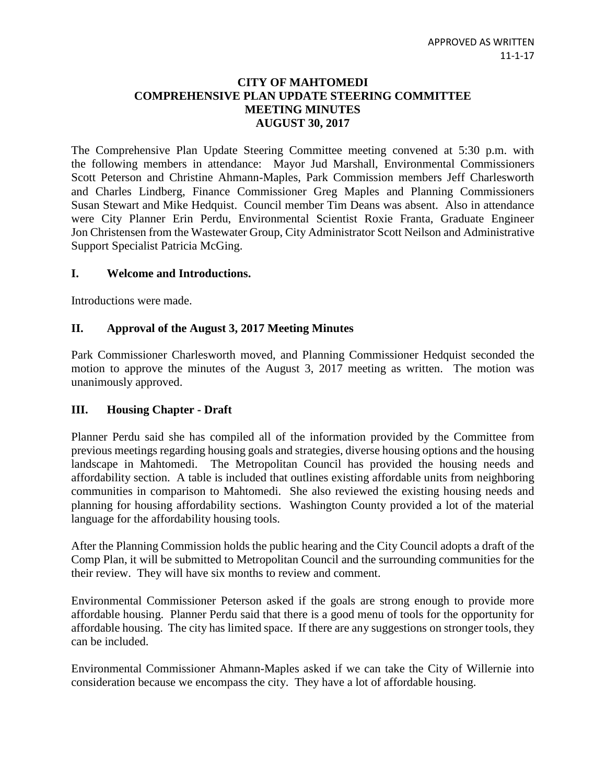## **CITY OF MAHTOMEDI COMPREHENSIVE PLAN UPDATE STEERING COMMITTEE MEETING MINUTES AUGUST 30, 2017**

The Comprehensive Plan Update Steering Committee meeting convened at 5:30 p.m. with the following members in attendance: Mayor Jud Marshall, Environmental Commissioners Scott Peterson and Christine Ahmann-Maples, Park Commission members Jeff Charlesworth and Charles Lindberg, Finance Commissioner Greg Maples and Planning Commissioners Susan Stewart and Mike Hedquist. Council member Tim Deans was absent. Also in attendance were City Planner Erin Perdu, Environmental Scientist Roxie Franta, Graduate Engineer Jon Christensen from the Wastewater Group, City Administrator Scott Neilson and Administrative Support Specialist Patricia McGing.

#### **I. Welcome and Introductions.**

Introductions were made.

#### **II. Approval of the August 3, 2017 Meeting Minutes**

Park Commissioner Charlesworth moved, and Planning Commissioner Hedquist seconded the motion to approve the minutes of the August 3, 2017 meeting as written. The motion was unanimously approved.

#### **III. Housing Chapter - Draft**

Planner Perdu said she has compiled all of the information provided by the Committee from previous meetings regarding housing goals and strategies, diverse housing options and the housing landscape in Mahtomedi. The Metropolitan Council has provided the housing needs and affordability section. A table is included that outlines existing affordable units from neighboring communities in comparison to Mahtomedi. She also reviewed the existing housing needs and planning for housing affordability sections. Washington County provided a lot of the material language for the affordability housing tools.

After the Planning Commission holds the public hearing and the City Council adopts a draft of the Comp Plan, it will be submitted to Metropolitan Council and the surrounding communities for the their review. They will have six months to review and comment.

Environmental Commissioner Peterson asked if the goals are strong enough to provide more affordable housing. Planner Perdu said that there is a good menu of tools for the opportunity for affordable housing. The city has limited space. If there are any suggestions on stronger tools, they can be included.

Environmental Commissioner Ahmann-Maples asked if we can take the City of Willernie into consideration because we encompass the city. They have a lot of affordable housing.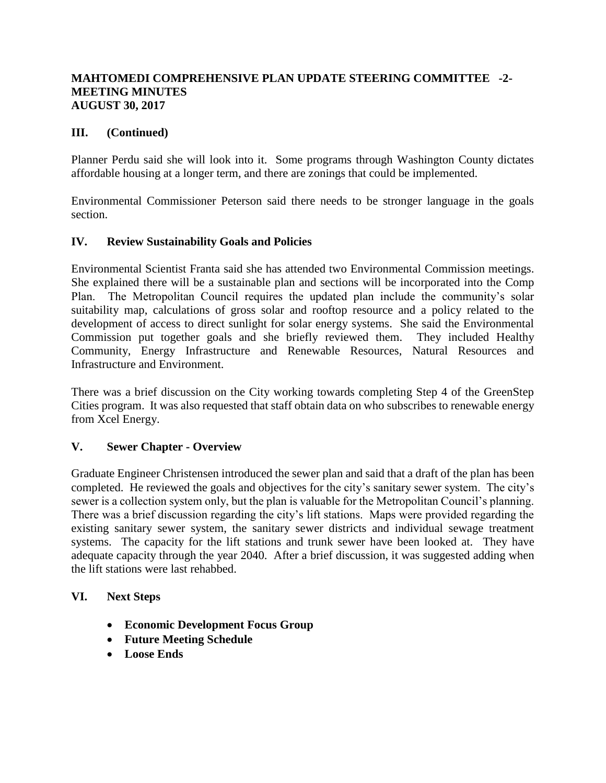## **MAHTOMEDI COMPREHENSIVE PLAN UPDATE STEERING COMMITTEE -2- MEETING MINUTES AUGUST 30, 2017**

## **III. (Continued)**

Planner Perdu said she will look into it. Some programs through Washington County dictates affordable housing at a longer term, and there are zonings that could be implemented.

Environmental Commissioner Peterson said there needs to be stronger language in the goals section.

#### **IV. Review Sustainability Goals and Policies**

Environmental Scientist Franta said she has attended two Environmental Commission meetings. She explained there will be a sustainable plan and sections will be incorporated into the Comp Plan. The Metropolitan Council requires the updated plan include the community's solar suitability map, calculations of gross solar and rooftop resource and a policy related to the development of access to direct sunlight for solar energy systems. She said the Environmental Commission put together goals and she briefly reviewed them. They included Healthy Community, Energy Infrastructure and Renewable Resources, Natural Resources and Infrastructure and Environment.

There was a brief discussion on the City working towards completing Step 4 of the GreenStep Cities program. It was also requested that staff obtain data on who subscribes to renewable energy from Xcel Energy.

# **V. Sewer Chapter - Overview**

Graduate Engineer Christensen introduced the sewer plan and said that a draft of the plan has been completed. He reviewed the goals and objectives for the city's sanitary sewer system. The city's sewer is a collection system only, but the plan is valuable for the Metropolitan Council's planning. There was a brief discussion regarding the city's lift stations. Maps were provided regarding the existing sanitary sewer system, the sanitary sewer districts and individual sewage treatment systems. The capacity for the lift stations and trunk sewer have been looked at. They have adequate capacity through the year 2040. After a brief discussion, it was suggested adding when the lift stations were last rehabbed.

#### **VI. Next Steps**

- **Economic Development Focus Group**
- **Future Meeting Schedule**
- **Loose Ends**